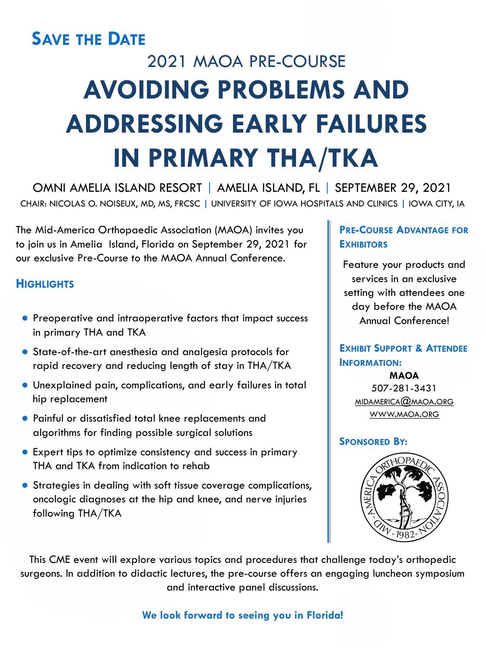# 2021 MAOA PRE-COURSE **AVOIDING PROBLEMS AND ADDRESSING EARLY FAILURES IN PRIMARY THA/TKA SAVE THE DATE**

OMNI AMELIA ISLAND RESORT | AMELIA ISLAND, FL | SEPTEMBER 29, 2021 CHAIR: NICOLAS O. NOISEUX, MD, MS, FRCSC **|** UNIVERSITY OF IOWA HOSPITALS AND CLINICS **|** IOWA CITY, IA

The Mid-America Orthopaedic Association (MAOA) invites you to join us in Amelia Island, Florida on September 29, 2021 for our exclusive Pre-Course to the MAOA Annual Conference.

- Preoperative and intraoperative factors that impact success in primary THA and TKA
- State-of-the-art anesthesia and analgesia protocols for rapid recovery and reducing length of stay in THA/TKA
- Unexplained pain, complications, and early failures in total hip replacement
- Painful or dissatisfied total knee replacements and algorithms for finding possible surgical solutions
- Expert tips to optimize consistency and success in primary

# **HIGHLIGHTS**

# **PRE-COURSE ADVANTAGE FOR EXHIBITORS**

Feature your products and services in an exclusive setting with attendees one day before the MAOA Annual Conference!

**EXHIBIT SUPPORT & ATTENDEE INFORMATION:**

> **MAOA** 507-281-3431 [MIDAMERICA@MAOA.ORG](mailto:midamerica@maoa.org) [WWW.MAOA.ORG](http://www.maoa.org/)

## **SPONSORED BY:**



THA and TKA from indication to rehab

● Strategies in dealing with soft tissue coverage complications, oncologic diagnoses at the hip and knee, and nerve injuries following THA/TKA



This CME event will explore various topics and procedures that challenge today's orthopedic surgeons. In addition to didactic lectures, the pre-course offers an engaging luncheon symposium and interactive panel discussions.

**We look forward to seeing you in Florida!**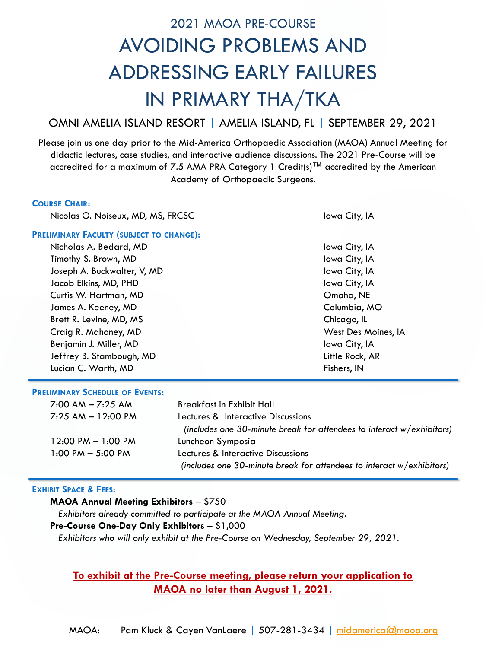# 2021 MAOA PRE-COURSE AVOIDING PROBLEMS AND ADDRESSING EARLY FAILURES IN PRIMARY THA/TKA

# OMNI AMELIA ISLAND RESORT | AMELIA ISLAND, FL | SEPTEMBER 29, 2021

Please join us one day prior to the Mid-America Orthopaedic Association (MAOA) Annual Meeting for didactic lectures, case studies, and interactive audience discussions. The 2021 Pre-Course will be accredited for a maximum of 7.5 AMA PRA Category 1 Credit(s)<sup>TM</sup> accredited by the American Academy of Orthopaedic Surgeons.

### **COURSE CHAIR:**

Nicolas O. Noiseux, MD, MS, FRCSC Iowa City, IA

### **PRELIMINARY FACULTY (SUBJECT TO CHANGE):**

Nicholas A. Bedard, MD is a set of the set of the set of the lowe City, IA Timothy S. Brown, MD **Iowa City, IA** Joseph A. Buckwalter, V, MD **Iowa City, IA** Jacob Elkins, MD, PHD Iowa City, IA Curtis W. Hartman, MD Omaha, NE James A. Keeney, MD **Columbia, MO** Brett R. Levine, MD, MS Chicago, IL Craig R. Mahoney, MD West Des Moines, IA Benjamin J. Miller, MD Iowa City, IA Jeffrey B. Stambough, MD Little Rock, AR Lucian C. Warth, MD **Fishers, IN** 

### **PRELIMINARY SCHEDULE OF EVENTS:**

| $7:00$ AM $-7:25$ AM                 | <b>Breakfast in Exhibit Hall</b>                                         |
|--------------------------------------|--------------------------------------------------------------------------|
| $7:25$ AM $-$ 12:00 PM               | Lectures & Interactive Discussions                                       |
|                                      | (includes one 30-minute break for attendees to interact $w/$ exhibitors) |
| $12:00 \text{ PM} - 1:00 \text{ PM}$ | Luncheon Symposia                                                        |
| $1:00$ PM $-$ 5:00 PM                | Lectures & Interactive Discussions                                       |

*(includes one 30-minute break for attendees to interact w/exhibitors)*

### **EXHIBIT SPACE & FEES:**

### **MAOA Annual Meeting Exhibitors** – \$750

*Exhibitors already committed to participate at the MAOA Annual Meeting.*

## **Pre-Course One-Day Only Exhibitors** – \$1,000

*Exhibitors who will only exhibit at the Pre-Course on Wednesday, September 29, 2021.*

# **To exhibit at the Pre-Course meeting, please return your application to MAOA no later than August 1, 2021.**

MAOA: Pam Kluck & Cayen VanLaere **|** 507-281-3434 **|** [midamerica@maoa.org](mailto:midamerica@maoa.org)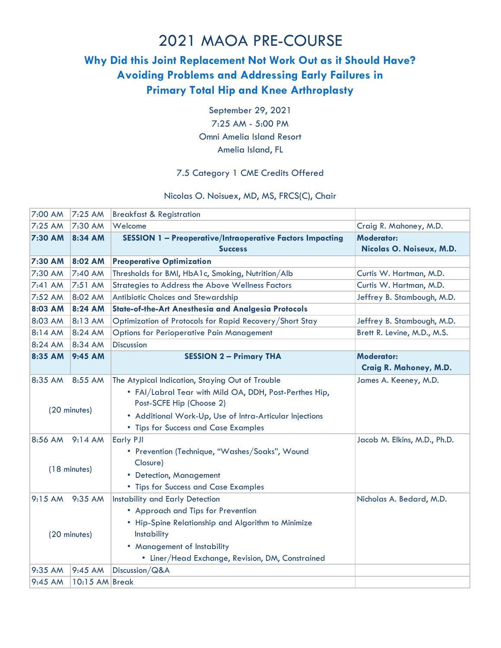### 2021 MAOA PRE-COURSE

### **Why Did this Joint Replacement Not Work Out as it Should Have? Avoiding Problems and Addressing Early Failures in Primary Total Hip and Knee Arthroplasty**

September 29, 2021 7:25 AM - 5:00 PM Omni Amelia Island Resort Amelia Island, FL

### 7.5 Category 1 CME Credits Offered

### Nicolas O. Noisuex, MD, MS, FRCS(C), Chair

| 7:00 AM         | 7:25 AM                  | <b>Breakfast &amp; Registration</b>                              |                              |
|-----------------|--------------------------|------------------------------------------------------------------|------------------------------|
| 7:25 AM         | 7:30 AM                  | Welcome                                                          | Craig R. Mahoney, M.D.       |
| 7:30 AM         | 8:34 AM                  | <b>SESSION 1 - Preoperative/Intraoperative Factors Impacting</b> | <b>Moderator:</b>            |
|                 |                          | <b>Success</b>                                                   | Nicolas O. Noiseux, M.D.     |
| 7:30 AM         | 8:02 AM                  | <b>Preoperative Optimization</b>                                 |                              |
| 7:30 AM         | 7:40 AM                  | Thresholds for BMI, HbA1c, Smoking, Nutrition/Alb                | Curtis W. Hartman, M.D.      |
| $7:41$ AM       | 7:51 AM                  | <b>Strategies to Address the Above Wellness Factors</b>          | Curtis W. Hartman, M.D.      |
| 7:52 AM         | 8:02 AM                  | Antibiotic Choices and Stewardship                               | Jeffrey B. Stambough, M.D.   |
| 8:03 AM         | 8:24 AM                  | State-of-the-Art Anesthesia and Analgesia Protocols              |                              |
| 8:03 AM         | 8:13 AM                  | Optimization of Protocols for Rapid Recovery/Short Stay          | Jeffrey B. Stambough, M.D.   |
| 8:14 AM         | 8:24 AM                  | <b>Options for Perioperative Pain Management</b>                 | Brett R. Levine, M.D., M.S.  |
| 8:24 AM         | 8:34 AM                  | <b>Discussion</b>                                                |                              |
| 8:35 AM         | 9:45 AM                  | <b>SESSION 2 - Primary THA</b>                                   | <b>Moderator:</b>            |
|                 |                          |                                                                  | Craig R. Mahoney, M.D.       |
| 8:35 AM         | 8:55 AM                  | The Atypical Indication, Staying Out of Trouble                  | James A. Keeney, M.D.        |
|                 |                          | . FAI/Labral Tear with Mild OA, DDH, Post-Perthes Hip,           |                              |
| (20 minutes)    | Post-SCFE Hip (Choose 2) |                                                                  |                              |
|                 |                          | • Additional Work-Up, Use of Intra-Articular Injections          |                              |
|                 |                          | • Tips for Success and Case Examples                             |                              |
| 8:56 AM 9:14 AM |                          | <b>Early PJI</b>                                                 | Jacob M. Elkins, M.D., Ph.D. |
|                 |                          | • Prevention (Technique, "Washes/Soaks", Wound                   |                              |
| (18 minutes)    |                          | Closure)                                                         |                              |
|                 |                          | • Detection, Management                                          |                              |
|                 |                          | • Tips for Success and Case Examples                             |                              |
| 9:15 AM 9:35 AM |                          | <b>Instability and Early Detection</b>                           | Nicholas A. Bedard, M.D.     |
|                 |                          | • Approach and Tips for Prevention                               |                              |
|                 |                          | • Hip-Spine Relationship and Algorithm to Minimize               |                              |
|                 | (20 minutes)             | <b>Instability</b>                                               |                              |
|                 |                          | • Management of Instability                                      |                              |
|                 |                          | • Liner/Head Exchange, Revision, DM, Constrained                 |                              |
| 9:35 AM         | 9:45 AM                  | Discussion/Q&A                                                   |                              |
| 9:45 AM         | 10:15 AM Break           |                                                                  |                              |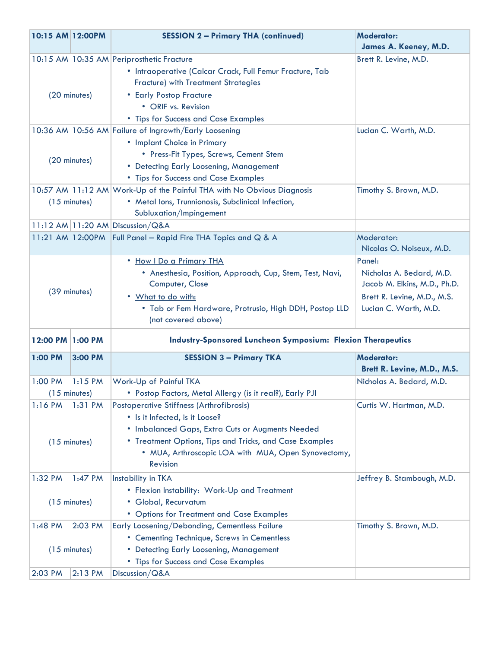| 10:15 AM 12:00PM |                        | <b>SESSION 2 - Primary THA (continued)</b>                                                                     | <b>Moderator:</b><br>James A. Keeney, M.D. |
|------------------|------------------------|----------------------------------------------------------------------------------------------------------------|--------------------------------------------|
|                  |                        |                                                                                                                |                                            |
|                  |                        | 10:15 AM 10:35 AM Periprosthetic Fracture                                                                      | Brett R. Levine, M.D.                      |
|                  |                        | · Intraoperative (Calcar Crack, Full Femur Fracture, Tab<br><b>Fracture)</b> with Treatment Strategies         |                                            |
|                  |                        |                                                                                                                |                                            |
| (20 minutes)     |                        | • Early Postop Fracture<br>• ORIF vs. Revision                                                                 |                                            |
|                  |                        |                                                                                                                |                                            |
|                  |                        | • Tips for Success and Case Examples<br>10:36 AM 10:56 AM Failure of Ingrowth/Early Loosening                  | Lucian C. Warth, M.D.                      |
|                  |                        | • Implant Choice in Primary                                                                                    |                                            |
|                  |                        | • Press-Fit Types, Screws, Cement Stem                                                                         |                                            |
| (20 minutes)     |                        | • Detecting Early Loosening, Management                                                                        |                                            |
|                  |                        |                                                                                                                |                                            |
|                  |                        | • Tips for Success and Case Examples<br>10:57 AM 11:12 AM Work-Up of the Painful THA with No Obvious Diagnosis | Timothy S. Brown, M.D.                     |
|                  | $(15$ minutes)         | • Metal lons, Trunnionosis, Subclinical Infection,                                                             |                                            |
|                  |                        | Subluxation/Impingement                                                                                        |                                            |
|                  |                        | 11:12 AM 11:20 AM Discussion/Q&A                                                                               |                                            |
|                  |                        | 11:21 AM 12:00PM Full Panel - Rapid Fire THA Topics and Q & A                                                  | Moderator:                                 |
|                  |                        |                                                                                                                | Nicolas O. Noiseux, M.D.                   |
|                  |                        | . How I Do a Primary THA                                                                                       | Panel:                                     |
|                  |                        | • Anesthesia, Position, Approach, Cup, Stem, Test, Navi,                                                       | Nicholas A. Bedard, M.D.                   |
|                  |                        | Computer, Close                                                                                                | Jacob M. Elkins, M.D., Ph.D.               |
|                  | (39 minutes)           | . What to do with:                                                                                             | Brett R. Levine, M.D., M.S.                |
|                  |                        | . Tab or Fem Hardware, Protrusio, High DDH, Postop LLD                                                         | Lucian C. Warth, M.D.                      |
|                  |                        | (not covered above)                                                                                            |                                            |
|                  |                        |                                                                                                                |                                            |
| 12:00 PM 1:00 PM |                        | <b>Industry-Sponsored Luncheon Symposium: Flexion Therapeutics</b>                                             |                                            |
| 1:00 PM          | 3:00 PM                | <b>SESSION 3 - Primary TKA</b>                                                                                 | <b>Moderator:</b>                          |
|                  |                        |                                                                                                                | Brett R. Levine, M.D., M.S.                |
| 1:00 PM          | $1:15$ PM              | Work-Up of Painful TKA                                                                                         | Nicholas A. Bedard, M.D.                   |
|                  | $(15 \text{ minutes})$ | • Postop Factors, Metal Allergy (is it real?), Early PJI                                                       |                                            |
| $1:16$ PM        | $1:31$ PM              | <b>Postoperative Stiffness (Arthrofibrosis)</b>                                                                | Curtis W. Hartman, M.D.                    |
|                  |                        | • Is it Infected, is it Loose?                                                                                 |                                            |
|                  |                        | . Imbalanced Gaps, Extra Cuts or Augments Needed                                                               |                                            |
|                  | $(15$ minutes)         | • Treatment Options, Tips and Tricks, and Case Examples                                                        |                                            |
|                  |                        | • MUA, Arthroscopic LOA with MUA, Open Synovectomy,                                                            |                                            |
|                  |                        | Revision                                                                                                       |                                            |
| 1:32 PM          | 1:47 PM                | Instability in TKA                                                                                             | Jeffrey B. Stambough, M.D.                 |
|                  |                        | • Flexion Instability: Work-Up and Treatment                                                                   |                                            |
|                  | $(15$ minutes)         | • Global, Recurvatum                                                                                           |                                            |
|                  |                        | • Options for Treatment and Case Examples                                                                      |                                            |
| 1:48 PM          | 2:03 PM                | Early Loosening/Debonding, Cementless Failure                                                                  | Timothy S. Brown, M.D.                     |
|                  |                        | • Cementing Technique, Screws in Cementless                                                                    |                                            |
| $(15$ minutes)   |                        | • Detecting Early Loosening, Management                                                                        |                                            |
|                  |                        | • Tips for Success and Case Examples                                                                           |                                            |
| 2:03 PM          | 2:13 PM                | Discussion/Q&A                                                                                                 |                                            |